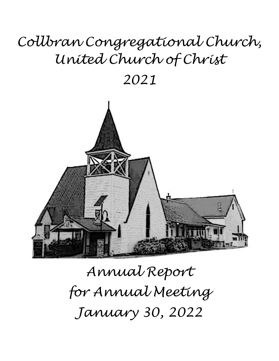# *Collbran Congregational Church, United Church of Christ*

*2021*



*Annual Report for Annual Meeting January 30, 2022*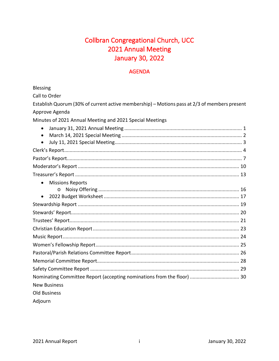# **Collbran Congregational Church, UCC** 2021 Annual Meeting **January 30, 2022**

### **AGENDA**

Blessing

Call to Order

| Establish Quorum (30% of current active membership) – Motions pass at 2/3 of members present |  |
|----------------------------------------------------------------------------------------------|--|
| Approve Agenda                                                                               |  |
| Minutes of 2021 Annual Meeting and 2021 Special Meetings                                     |  |
| $\bullet$<br>$\bullet$                                                                       |  |
|                                                                                              |  |
|                                                                                              |  |
|                                                                                              |  |
|                                                                                              |  |
| <b>Missions Reports</b><br>$\bullet$<br>$\Omega$<br>$\bullet$                                |  |
|                                                                                              |  |
|                                                                                              |  |
|                                                                                              |  |
|                                                                                              |  |
|                                                                                              |  |
|                                                                                              |  |
|                                                                                              |  |
|                                                                                              |  |
|                                                                                              |  |
|                                                                                              |  |
| <b>New Business</b>                                                                          |  |
| <b>Old Business</b>                                                                          |  |
|                                                                                              |  |

Adjourn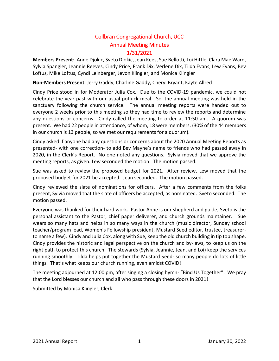## Collbran Congregational Church, UCC Annual Meeting Minutes 1/31/2021

**Members Present:** Anne Djokic, Sveto Djokic, Jean Kees, Sue Bellotti, Loi Hittle, Clara Mae Ward, Sylvia Spangler, Jeannie Reeves, Cindy Price, Frank Dix, Verlene Dix, Tilda Evans, Lew Evans, Bev Loftus, Mike Loftus, Cyndi Leinberger, Jevon Klingler, and Monica Klingler

**Non-Members Present**: Jerry Gaddy, Charline Gaddy, Cheryl Bryant, Kayte Allred

Cindy Price stood in for Moderator Julia Cox. Due to the COVID-19 pandemic, we could not celebrate the year past with our usual potluck meal. So, the annual meeting was held in the sanctuary following the church service. The annual meeting reports were handed out to everyone 2 weeks prior to this meeting so they had time to review the reports and determine any questions or concerns. Cindy called the meeting to order at 11:50 am. A quorum was present. We had 22 people in attendance, of whom, 18 were members. (30% of the 44 members in our church is 13 people, so we met our requirements for a quorum).

Cindy asked if anyone had any questions or concerns about the 2020 Annual Meeting Reports as presented- with one correction- to add Bev Mayne's name to friends who had passed away in 2020, in the Clerk's Report. No one noted any questions. Sylvia moved that we approve the meeting reports, as given. Lew seconded the motion. The motion passed.

Sue was asked to review the proposed budget for 2021. After review, Lew moved that the proposed budget for 2021 be accepted. Jean seconded. The motion passed.

Cindy reviewed the slate of nominations for officers. After a few comments from the folks present, Sylvia moved that the slate of officers be accepted, as nominated. Sveto seconded. The motion passed.

Everyone was thanked for their hard work. Pastor Anne is our shepherd and guide; Sveto is the personal assistant to the Pastor, chief paper deliverer, and church grounds maintainer. Sue wears so many hats and helps in so many ways in the church (music director, Sunday school teacher/program lead, Women's Fellowship president, Mustard Seed editor, trustee, treasurerto name a few). Cindy and Julia Cox, along with Sue, keep the old church building in tip top shape. Cindy provides the historic and legal perspective on the church and by-laws, to keep us on the right path to protect this church. The stewards (Sylvia, Jeannie, Jean, and Loi) keep the services running smoothly. Tilda helps put together the Mustard Seed- so many people do lots of little things. That's what keeps our church running, even amidst COVID!

The meeting adjourned at 12:00 pm, after singing a closing hymn- "Bind Us Together". We pray that the Lord blesses our church and all who pass through these doors in 2021!

Submitted by Monica Klingler, Clerk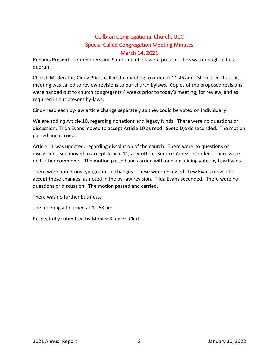## Collbran Congregational Church, UCC Special Called Congregation Meeting Minutes March 14, 2021

**Persons Present:** 17 members and 9 non-members were present. This was enough to be a quorum.

Church Moderator, Cindy Price, called the meeting to order at 11:45 am. She noted that this meeting was called to review revisions to our church bylaws. Copies of the proposed revisions were handed out to church congregants 4 weeks prior to today's meeting, for review, and as required in our present by-laws.

Cindy read each by-law article change separately so they could be voted on individually.

We are adding Article 10, regarding donations and legacy funds. There were no questions or discussion. Tilda Evans moved to accept Article 10 as read. Sveto Djokic seconded. The motion passed and carried.

Article 11 was updated, regarding dissolution of the church. There were no questions or discussion. Sue moved to accept Article 11, as written. Bernice Yanez seconded. There were no further comments. The motion passed and carried with one abstaining vote, by Lew Evans.

There were numerous typographical changes. These were reviewed. Lew Evans moved to accept these changes, as noted in the by-law revision. Tilda Evans seconded. There were no questions or discussion. The motion passed and carried.

There was no further business.

The meeting adjourned at 11:58 am

Respectfully submitted by Monica Klingler, Clerk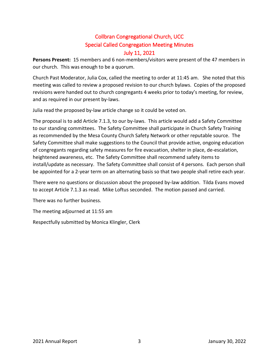## Collbran Congregational Church, UCC Special Called Congregation Meeting Minutes July 11, 2021

**Persons Present:** 15 members and 6 non-members/visitors were present of the 47 members in our church. This was enough to be a quorum.

Church Past Moderator, Julia Cox, called the meeting to order at 11:45 am. She noted that this meeting was called to review a proposed revision to our church bylaws. Copies of the proposed revisions were handed out to church congregants 4 weeks prior to today's meeting, for review, and as required in our present by-laws.

Julia read the proposed by-law article change so it could be voted on.

The proposal is to add Article 7.1.3, to our by-laws. This article would add a Safety Committee to our standing committees. The Safety Committee shall participate in Church Safety Training as recommended by the Mesa County Church Safety Network or other reputable source. The Safety Committee shall make suggestions to the Council that provide active, ongoing education of congregants regarding safety measures for fire evacuation, shelter in place, de-escalation, heightened awareness, etc. The Safety Committee shall recommend safety items to install/update as necessary. The Safety Committee shall consist of 4 persons. Each person shall be appointed for a 2-year term on an alternating basis so that two people shall retire each year.

There were no questions or discussion about the proposed by-law addition. Tilda Evans moved to accept Article 7.1.3 as read. Mike Loftus seconded. The motion passed and carried.

There was no further business.

The meeting adjourned at 11:55 am

Respectfully submitted by Monica Klingler, Clerk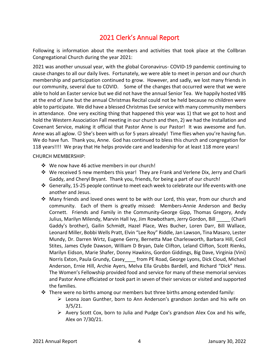# 2021 Clerk's Annual Report

Following is information about the members and activities that took place at the Collbran Congregational Church during the year 2021:

2021 was another unusual year, with the global Coronavirus- COVID-19 pandemic continuing to cause changes to all our daily lives. Fortunately, we were able to meet in person and our church membership and participation continued to grow. However, and sadly, we lost many friends in our community, several due to COVID. Some of the changes that occurred were that we were able to hold an Easter service but we did not have the annual Senior Tea. We happily hosted VBS at the end of June but the annual Christmas Recital could not be held because no children were able to participate. We did have a blessed Christmas Eve service with many community members in attendance. One very exciting thing that happened this year was 1) that we got to host and hold the Western Association Fall meeting in our church and then, 2) we had the Installation and Covenant Service, making it official that Pastor Anne is our Pastor! It was awesome and fun. Anne was all aglow.  $\odot$  She's been with us for 5 years already! Time flies when you're having fun. We do have fun. Thank you, Anne. God has continued to bless this church and congregation for 118 years!!!! We pray that He helps provide care and leadership for at least 118 more years!

#### CHURCH MEMBERSHIP:

- ❖ We now have 46 active members in our church!
- ❖ We received 5 new members this year! They are Frank and Verlene Dix, Jerry and Charli Gaddy, and Cheryl Bryant. Thank you, friends, for being a part of our church!
- ❖ Generally, 15-25 people continue to meet each week to celebrate our life events with one another and Jesus.
- ❖ Many friends and loved ones went to be with our Lord, this year, from our church and community. Each of them is greatly missed: Members-Annie Anderson and Becky Cornett. Friends and Family in the Community-George Gipp, Thomas Gregory, Andy Julius, Marilyn Milendy, Marvin Hall Ivy, Jim Rowbotham, Jerry Gordon, Bill \_\_\_\_\_ (Charli Gaddy's brother), Gailin Schmidt, Hazel Place, Wes Bucher, Loren Darr, Bill Wallace, Leonard Miller, Bobbi Wells Pratt, Elvin "Lee Roy" Riddle, Jan Lawson, Tina Masaro, Lester Mundy, Dr. Darren Wirtz, Eugene Gerry, Bernetta Mae Charlesworth, Barbara Hill, Cecil Stites, James Clyde Dawson, William D Bryan, Dale Clifton, Leland Clifton, Scott Rienks, Marilyn Eidson, Marie Shafer, Donny Hawkins, Gordon Giddings, Big Dave, Virginia (Vini) Norris Exton, Paula Grundy, Casey from PE Road, George Lyons, Dick Cloud, Michael Anderson, Ernie Hill, Archie Ayers, Melva Ella Grubbs Bardell, and Richard "Dick" Hess. The Women's Fellowship provided food and service for many of these memorial services and Pastor Anne officiated or took part in seven of their services or visited and supported the families.
- $\dots$  There were no births among our members but three births among extended family:
	- $\triangleright$  Leona Joan Gunther, born to Ann Anderson's grandson Jordan and his wife on 3/5/21.
	- $\triangleright$  Avery Scott Cox, born to Julia and Pudge Cox's grandson Alex Cox and his wife, Alex on 7/30/21.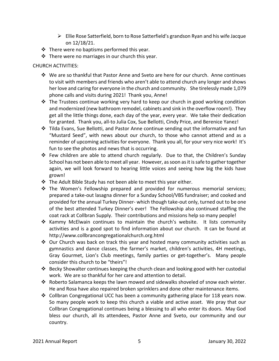- $\triangleright$  Ellie Rose Satterfield, born to Rose Satterfield's grandson Ryan and his wife Jacque on 12/18/21.
- $\cdot \cdot$  There were no baptisms performed this year.
- ❖ There were no marriages in our church this year.

#### CHURCH ACTIVITIES:

- ❖ We are so thankful that Pastor Anne and Sveto are here for our church. Anne continues to visit with members and friends who aren't able to attend church any longer and shows her love and caring for everyone in the church and community. She tirelessly made 1,079 phone calls and visits during 2021! Thank you, Anne!
- $\cdot \cdot$  The Trustees continue working very hard to keep our church in good working condition and modernized (new bathroom remodel, cabinets and sink in the overflow room!). They get all the little things done, each day of the year, every year. We take their dedication for granted. Thank you, all-to Julia Cox, Sue Bellotti, Cindy Price, and Berenice Yanez!
- ❖ Tilda Evans, Sue Bellotti, and Pastor Anne continue sending out the informative and fun "Mustard Seed", with news about our church, to those who cannot attend and as a reminder of upcoming activities for everyone. Thank you all, for your very nice work! It's fun to see the photos and news that is occurring.
- ❖ Few children are able to attend church regularly. Due to that, the Children's Sunday School has not been able to meet all year. However, as soon as it is safe to gather together again, we will look forward to hearing little voices and seeing how big the kids have grown!
- ❖ The Adult Bible Study has not been able to meet this year either.
- ❖ The Women's Fellowship prepared and provided for numerous memorial services; prepared a take-out lasagna dinner for a Sunday School/VBS fundraiser; and cooked and provided for the annual Turkey Dinner- which though take-out only, turned out to be one of the best attended Turkey Dinner's ever! The Fellowship also continued staffing the coat rack at Collbran Supply. Their contributions and missions help so many people!
- ❖ Kammy McElwain continues to maintain the church's website. It lists community activities and is a good spot to find information about our church. It can be found at http://www.collbrancongregationalchurch.org.html
- ❖ Our Church was back on track this year and hosted many community activities such as gymnastics and dance classes, the farmer's market, children's activities, 4H meetings, Gray Gourmet, Lion's Club meetings, family parties or get-together's. Many people consider this church to be "theirs"!
- ❖ Becky Showalter continues keeping the church clean and looking good with her custodial work. We are so thankful for her care and attention to detail.
- ❖ Roberto Salamanca keeps the lawn mowed and sidewalks shoveled of snow each winter. He and Rosa have also repaired broken sprinklers and done other maintenance items.
- ❖ Collbran Congregational UCC has been a community gathering place for 118 years now. So many people work to keep this church a viable and active asset. We pray that our Collbran Congregational continues being a blessing to all who enter its doors. May God bless our church, all its attendees, Pastor Anne and Sveto, our community and our country.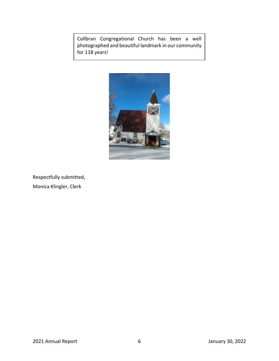Collbran Congregational Church has been a well photographed and beautiful landmark in our community for 118 years!



Respectfully submitted, Monica Klingler, Clerk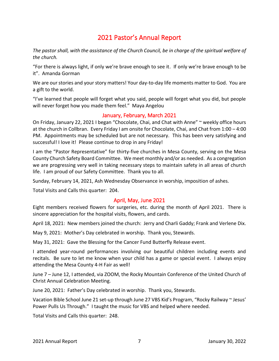## 2021 Pastor's Annual Report

*The pastor shall, with the assistance of the Church Council, be in charge of the spiritual welfare of the church.*

"For there is always light, if only we're brave enough to see it. If only we're brave enough to be it". Amanda Gorman

We are our stories and your story matters! Your day-to-day life moments matter to God. You are a gift to the world.

"I've learned that people will forget what you said, people will forget what you did, but people will never forget how you made them feel." Maya Angelou

#### January, February, March 2021

On Friday, January 22, 2021 I began "Chocolate, Chai, and Chat with Anne" ~ weekly office hours at the church in Collbran. Every Friday I am onsite for Chocolate, Chai, and Chat from 1:00 – 4:00 PM. Appointments may be scheduled but are not necessary. This has been very satisfying and successful! I love it! Please continue to drop in any Friday!

I am the "Pastor Representative" for thirty-five churches in Mesa County, serving on the Mesa County Church Safety Board Committee. We meet monthly and/or as needed. As a congregation we are progressing very well in taking necessary steps to maintain safety in all areas of church life. I am proud of our Safety Committee. Thank you to all.

Sunday, February 14, 2021, Ash Wednesday Observance in worship, imposition of ashes.

Total Visits and Calls this quarter: 204.

#### April, May, June 2021

Eight members received flowers for surgeries, etc. during the month of April 2021. There is sincere appreciation for the hospital visits, flowers, and cards.

April 18, 2021: New members joined the church: Jerry and Charli Gaddy; Frank and Verlene Dix.

May 9, 2021: Mother's Day celebrated in worship. Thank you, Stewards.

May 31, 2021: Gave the Blessing for the Cancer Fund Butterfly Release event.

I attended year-round performances involving our beautiful children including events and recitals. Be sure to let me know when your child has a game or special event. I always enjoy attending the Mesa County 4-H Fair as well!

June 7 – June 12, I attended, via ZOOM, the Rocky Mountain Conference of the United Church of Christ Annual Celebration Meeting.

June 20, 2021: Father's Day celebrated in worship. Thank you, Stewards.

Vacation Bible School June 21 set-up through June 27 VBS Kid's Program, "Rocky Railway ~ Jesus' Power Pulls Us Through." I taught the music for VBS and helped where needed.

Total Visits and Calls this quarter: 248.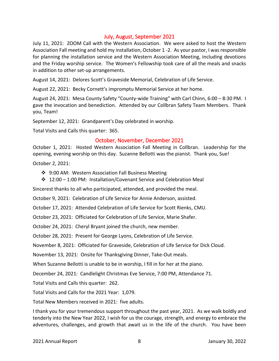#### July, August, September 2021

July 11, 2021: ZOOM Call with the Western Association. We were asked to host the Western Association Fall meeting and hold my installation, October 1 -2. As your pastor, I was responsible for planning the installation service and the Western Association Meeting, including devotions and the Friday worship service. The Women's Fellowship took care of all the meals and snacks in addition to other set-up arrangements.

August 14, 2021: Delores Scott's Graveside Memorial, Celebration of Life Service.

August 22, 2021: Becky Cornett's impromptu Memorial Service at her home.

August 24, 2021: Mesa County Safety "County-wide Training" with Carl Chinn, 6:00 – 8:30 PM. I gave the invocation and benediction. Attended by our Collbran Safety Team Members. Thank you, Team!

September 12, 2021: Grandparent's Day celebrated in worship.

Total Visits and Calls this quarter: 365.

#### October, November, December 2021

October 1, 2021: Hosted Western Association Fall Meeting in Collbran. Leadership for the opening, evening worship on this day. Suzanne Bellotti was the pianist. Thank you, Sue!

October 2, 2021:

- ❖ 9:00 AM: Western Association Fall Business Meeting
- ❖ 12:00 1:00 PM: Installation/Covenant Service and Celebration Meal

Sincerest thanks to all who participated, attended, and provided the meal.

October 9, 2021: Celebration of Life Service for Annie Anderson, assisted.

October 17, 2021: Attended Celebration of Life Service for Scott Rienks, CMU.

October 23, 2021: Officiated for Celebration of Life Service, Marie Shafer.

October 24, 2021: Cheryl Bryant joined the church, new member.

October 28, 2021: Present for George Lyons, Celebration of Life Service.

November 8, 2021: Officiated for Graveside, Celebration of Life Service for Dick Cloud.

November 13, 2021: Onsite for Thanksgiving Dinner, Take-Out meals.

When Suzanne Bellotti is unable to be in worship, I fill in for her at the piano.

December 24, 2021: Candlelight Christmas Eve Service, 7:00 PM, Attendance 71.

Total Visits and Calls this quarter: 262.

Total Visits and Calls for the 2021 Year: 1,079.

Total New Members received in 2021: five adults.

I thank you for your tremendous support throughout the past year, 2021. As we walk boldly and tenderly into the New Year 2022, I wish for us the courage, strength, and energy to embrace the adventures, challenges, and growth that await us in the life of the church. You have been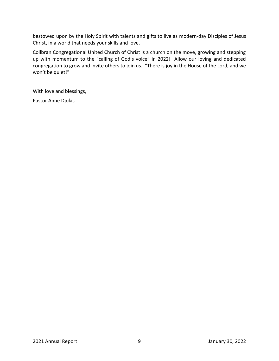bestowed upon by the Holy Spirit with talents and gifts to live as modern-day Disciples of Jesus Christ, in a world that needs your skills and love.

Collbran Congregational United Church of Christ is a church on the move, growing and stepping up with momentum to the "calling of God's voice" in 2022! Allow our loving and dedicated congregation to grow and invite others to join us. "There is joy in the House of the Lord, and we won't be quiet!"

With love and blessings,

Pastor Anne Djokic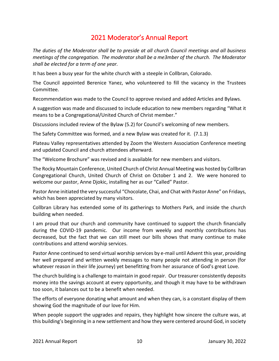## 2021 Moderator's Annual Report

*The duties of the Moderator shall be to preside at all church Council meetings and all business meetings of the congregation. The moderator shall be a me3mber of the church. The Moderator shall be elected for a term of one year.*

It has been a busy year for the white church with a steeple in Collbran, Colorado.

The Council appointed Berenice Yanez, who volunteered to fill the vacancy in the Trustees Committee.

Recommendation was made to the Council to approve revised and added Articles and Bylaws.

A suggestion was made and discussed to include education to new members regarding "What it means to be a Congregational/United Church of Christ member."

Discussions included review of the Bylaw (5.2) for Council's welcoming of new members.

The Safety Committee was formed, and a new Bylaw was created for it. (7.1.3)

Plateau Valley representatives attended by Zoom the Western Association Conference meeting and updated Council and church attendees afterward.

The "Welcome Brochure" was revised and is available for new members and visitors.

The Rocky Mountain Conference, United Church of Christ Annual Meeting was hosted by Collbran Congregational Church, United Church of Christ on October 1 and 2. We were honored to welcome our pastor, Anne Djokic, installing her as our "Called" Pastor.

Pastor Anne initiated the very successful "Chocolate, Chai, and Chat with Pastor Anne" on Fridays, which has been appreciated by many visitors.

Collbran Library has extended some of its gatherings to Mothers Park, and inside the church building when needed.

I am proud that our church and community have continued to support the church financially during the COVID-19 pandemic. Our income from weekly and monthly contributions has decreased, but the fact that we can still meet our bills shows that many continue to make contributions and attend worship services.

Pastor Anne continued to send virtual worship services by e-mail until Advent this year, providing her well prepared and written weekly messages to many people not attending in person (for whatever reason in their life journey) yet benefitting from her assurance of God's great Love.

The church building is a challenge to maintain in good repair. Our treasurer consistently deposits money into the savings account at every opportunity, and though it may have to be withdrawn too soon, it balances out to be a benefit when needed.

The efforts of everyone donating what amount and when they can, is a constant display of them showing God the magnitude of our love for Him.

When people support the upgrades and repairs, they highlight how sincere the culture was, at this building's beginning in a new settlement and how they were centered around God, in society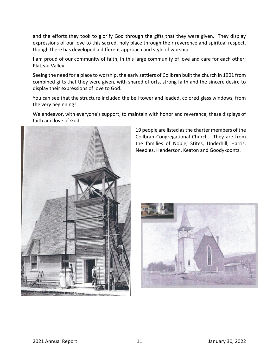and the efforts they took to glorify God through the gifts that they were given. They display expressions of our love to this sacred, holy place through their reverence and spiritual respect, though there has developed a different approach and style of worship.

I am proud of our community of faith, in this large community of love and care for each other; Plateau Valley.

Seeing the need for a place to worship, the early settlers of Collbran built the church in 1901 from combined gifts that they were given, with shared efforts, strong faith and the sincere desire to display their expressions of love to God.

You can see that the structure included the bell tower and leaded, colored glass windows, from the very beginning!

We endeavor, with everyone's support, to maintain with honor and reverence, these displays of faith and love of God.



19 people are listed as the charter members of the Collbran Congregational Church. They are from the families of Noble, Stites, Underhill, Harris, Needles, Henderson, Keaton and Goodykoontz.

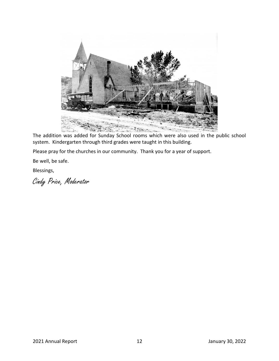

The addition was added for Sunday School rooms which were also used in the public school system. Kindergarten through third grades were taught in this building.

Please pray for the churches in our community. Thank you for a year of support.

Be well, be safe.

Blessings,

Cindy Price, Moderator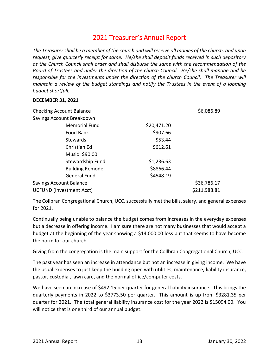## 2021 Treasurer's Annual Report

*The Treasurer shall be a member of the church and will receive all monies of the church, and upon request, give quarterly receipt for same. He/she shall deposit funds received in such depository as the Church Council shall order and shall disburse the same with the recommendation of the Board of Trustees and under the direction of the church Council. He/she shall manage and be responsible for the investments under the direction of the church Council. The Treasurer will maintain a review of the budget standings and notify the Trustees in the event of a looming budget shortfall.*

#### **DECEMBER 31, 2021**

| <b>Checking Account Balance</b> |             | \$6,086.89   |
|---------------------------------|-------------|--------------|
| Savings Account Breakdown       |             |              |
| <b>Memorial Fund</b>            | \$20,471.20 |              |
| Food Bank                       | \$907.66    |              |
| <b>Stewards</b>                 | \$53.44     |              |
| Christian Ed                    | \$612.61    |              |
| Music \$90.00                   |             |              |
| Stewardship Fund                | \$1,236.63  |              |
| <b>Building Remodel</b>         | \$8866.44   |              |
| <b>General Fund</b>             | \$4548.19   |              |
| <b>Savings Account Balance</b>  |             | \$36,786.17  |
| <b>UCFUND (Investment Acct)</b> |             | \$211,988.81 |

The Collbran Congregational Church, UCC, successfully met the bills, salary, and general expenses for 2021.

Continually being unable to balance the budget comes from increases in the everyday expenses but a decrease in offering income. I am sure there are not many businesses that would accept a budget at the beginning of the year showing a \$14,000.00 loss but that seems to have become the norm for our church.

Giving from the congregation is the main support for the Collbran Congregational Church, UCC.

The past year has seen an increase in attendance but not an increase in giving income. We have the usual expenses to just keep the building open with utilities, maintenance, liability insurance, pastor, custodial, lawn care, and the normal office/computer costs.

We have seen an increase of \$492.15 per quarter for general liability insurance. This brings the quarterly payments in 2022 to \$3773.50 per quarter. This amount is up from \$3281.35 per quarter for 2021. The total general liability insurance cost for the year 2022 is \$15094.00. You will notice that is one third of our annual budget.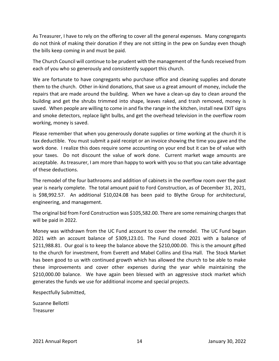As Treasurer, I have to rely on the offering to cover all the general expenses. Many congregants do not think of making their donation if they are not sitting in the pew on Sunday even though the bills keep coming in and must be paid.

The Church Council will continue to be prudent with the management of the funds received from each of you who so generously and consistently support this church.

We are fortunate to have congregants who purchase office and cleaning supplies and donate them to the church. Other in-kind donations, that save us a great amount of money, include the repairs that are made around the building. When we have a clean-up day to clean around the building and get the shrubs trimmed into shape, leaves raked, and trash removed, money is saved. When people are willing to come in and fix the range in the kitchen, install new EXIT signs and smoke detectors, replace light bulbs, and get the overhead television in the overflow room working, money is saved.

Please remember that when you generously donate supplies or time working at the church it is tax deductible. You must submit a paid receipt or an invoice showing the time you gave and the work done. I realize this does require some accounting on your end but it can be of value with your taxes. Do not discount the value of work done. Current market wage amounts are acceptable. As treasurer, I am more than happy to work with you so that you can take advantage of these deductions.

The remodel of the four bathrooms and addition of cabinets in the overflow room over the past year is nearly complete. The total amount paid to Ford Construction, as of December 31, 2021, is \$98,992.57. An additional \$10,024.08 has been paid to Blythe Group for architectural, engineering, and management.

The original bid from Ford Construction was \$105,582.00. There are some remaining charges that will be paid in 2022.

Money was withdrawn from the UC Fund account to cover the remodel. The UC Fund began 2021 with an account balance of \$309,123.01. The Fund closed 2021 with a balance of \$211,988.81. Our goal is to keep the balance above the \$210,000.00. This is the amount gifted to the church for investment, from Everett and Mabel Collins and Elna Hall. The Stock Market has been good to us with continued growth which has allowed the church to be able to make these improvements and cover other expenses during the year while maintaining the \$210,000.00 balance. We have again been blessed with an aggressive stock market which generates the funds we use for additional income and special projects.

Respectfully Submitted,

Suzanne Bellotti Treasurer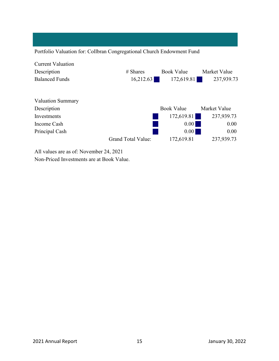|                          | Portfolio Valuation for: Collbran Congregational Church Endowment Fund |                   |              |
|--------------------------|------------------------------------------------------------------------|-------------------|--------------|
| <b>Current Valuation</b> |                                                                        |                   |              |
| Description              | $#$ Shares                                                             | <b>Book Value</b> | Market Value |
| <b>Balanced Funds</b>    | 16,212.63<br>172,619.81                                                |                   | 237,939.73   |
| <b>Valuation Summary</b> |                                                                        |                   |              |
| Description              |                                                                        | <b>Book Value</b> | Market Value |
| Investments              |                                                                        | 172,619.81        | 237,939.73   |
| Income Cash              |                                                                        | 0.00              | 0.00         |
| Principal Cash           |                                                                        | 0.00              | 0.00         |
|                          | Grand Total Value:                                                     | 172,619.81        | 237,939.73   |
| $\frac{1}{2}$ 11 1       |                                                                        |                   |              |

All values are as of: November 24, 2021 Non-Priced Investments are at Book Value.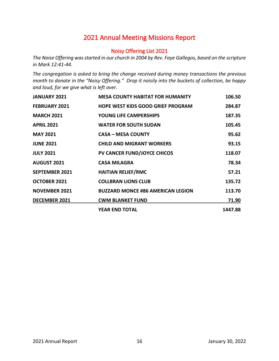## 2021 Annual Meeting Missions Report

#### Noisy Offering List 2021

*The Noise Offering was started in our church in 2004 by Rev. Faye Gallegos, based on the scripture in Mark 12:41-44.*

*The congregation is asked to bring the change received during money transactions the previous month to donate in the "Noisy Offering." Drop it noisily into the buckets of collection, be happy and loud, for we give what is left over.*

| <b>JANUARY 2021</b>   | <b>MESA COUNTY HABITAT FOR HUMANITY</b>  | 106.50  |
|-----------------------|------------------------------------------|---------|
| <b>FEBRUARY 2021</b>  | <b>HOPE WEST KIDS GOOD GRIEF PROGRAM</b> | 284.87  |
| <b>MARCH 2021</b>     | <b>YOUNG LIFE CAMPERSHIPS</b>            | 187.35  |
| <b>APRIL 2021</b>     | <b>WATER FOR SOUTH SUDAN</b>             | 105.45  |
| <b>MAY 2021</b>       | <b>CASA - MESA COUNTY</b>                | 95.62   |
| <b>JUNE 2021</b>      | <b>CHILD AND MIGRANT WORKERS</b>         | 93.15   |
| <b>JULY 2021</b>      | <b>PV CANCER FUND/JOYCE CHICOS</b>       | 118.07  |
| <b>AUGUST 2021</b>    | <b>CASA MILAGRA</b>                      | 78.34   |
| <b>SEPTEMBER 2021</b> | <b>HAITIAN RELIEF/RMC</b>                | 57.21   |
| <b>OCTOBER 2021</b>   | <b>COLLBRAN LIONS CLUB</b>               | 135.72  |
| <b>NOVEMBER 2021</b>  | <b>BUZZARD MONCE #86 AMERICAN LEGION</b> | 113.70  |
| <b>DECEMBER 2021</b>  | <b>CWM BLANKET FUND</b>                  | 71.90   |
|                       | <b>YEAR END TOTAL</b>                    | 1447.88 |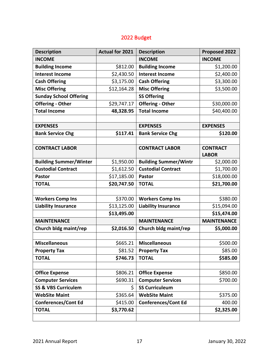## 2022 Budget

| <b>Description</b>             | <b>Actual for 2021</b> | <b>Description</b>           | Proposed 2022      |
|--------------------------------|------------------------|------------------------------|--------------------|
| <b>INCOME</b>                  |                        | <b>INCOME</b>                | <b>INCOME</b>      |
| <b>Building Income</b>         | \$812.00               | <b>Building Income</b>       | \$1,200.00         |
| <b>Interest Income</b>         | \$2,430.50             | <b>Interest Income</b>       | \$2,400.00         |
| <b>Cash Offering</b>           | \$3,175.00             | <b>Cash Offering</b>         | \$3,300.00         |
| <b>Misc Offering</b>           | \$12,164.28            | <b>Misc Offering</b>         | \$3,500.00         |
| <b>Sunday School Offering</b>  |                        | <b>SS Offering</b>           |                    |
| <b>Offering - Other</b>        | \$29,747.17            | <b>Offering - Other</b>      | \$30,000.00        |
| <b>Total Income</b>            | 48,328.95              | <b>Total Income</b>          | \$40,400.00        |
|                                |                        |                              |                    |
| <b>EXPENSES</b>                |                        | <b>EXPENSES</b>              | <b>EXPENSES</b>    |
| <b>Bank Service Chg</b>        | \$117.41               | <b>Bank Service Chg</b>      | \$120.00           |
|                                |                        |                              |                    |
| <b>CONTRACT LABOR</b>          |                        | <b>CONTRACT LABOR</b>        | <b>CONTRACT</b>    |
|                                |                        |                              | <b>LABOR</b>       |
| <b>Building Summer/Winter</b>  | \$1,950.00             | <b>Building Summer/Wintr</b> | \$2,000.00         |
| <b>Custodial Contract</b>      | \$1,612.50             | <b>Custodial Contract</b>    | \$1,700.00         |
| <b>Pastor</b>                  | \$17,185.00            | <b>Pastor</b>                | \$18,000.00        |
| <b>TOTAL</b>                   | \$20,747.50            | <b>TOTAL</b>                 | \$21,700.00        |
|                                |                        |                              |                    |
| <b>Workers Comp Ins</b>        | \$370.00               | <b>Workers Comp Ins</b>      | \$380.00           |
| <b>Liability Insurance</b>     | \$13,125.00            | <b>Liability Insurance</b>   | \$15,094.00        |
|                                | \$13,495.00            |                              | \$15,474.00        |
| <b>MAINTENANCE</b>             |                        | <b>MAINTENANCE</b>           | <b>MAINTENANCE</b> |
| Church bldg maint/rep          | \$2,016.50             | Church bldg maint/rep        | \$5,000.00         |
|                                |                        |                              |                    |
| <b>Miscellaneous</b>           | \$665.21               | <b>Miscellaneous</b>         | \$500.00           |
| <b>Property Tax</b>            | \$81.52                | <b>Property Tax</b>          | \$85.00            |
| <b>TOTAL</b>                   | \$746.73               | <b>TOTAL</b>                 | \$585.00           |
|                                |                        |                              |                    |
| <b>Office Expense</b>          | \$806.21               | <b>Office Expense</b>        | \$850.00           |
| <b>Computer Services</b>       | \$690.31               | <b>Computer Services</b>     | \$700.00           |
| <b>SS &amp; VBS Curriculem</b> | \$.                    | <b>SS Curriculeum</b>        |                    |
| <b>WebSite Maint</b>           | \$365.64               | <b>WebSite Maint</b>         | \$375.00           |
| <b>Conferences/Cont Ed</b>     | \$415.00               | <b>Conferences/Cont Ed</b>   | 400.00             |
| <b>TOTAL</b>                   | \$3,770.62             |                              | \$2,325.00         |
|                                |                        |                              |                    |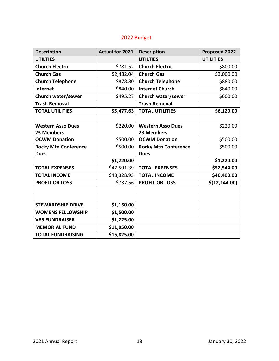## 2022 Budget

| <b>Description</b>          | <b>Actual for 2021</b> | <b>Description</b>          | Proposed 2022    |
|-----------------------------|------------------------|-----------------------------|------------------|
| <b>UTILTIES</b>             |                        | <b>UTILTIES</b>             | <b>UTILITIES</b> |
| <b>Church Electric</b>      | \$781.52               | <b>Church Electric</b>      | \$800.00         |
| <b>Church Gas</b>           | \$2,482.04             | <b>Church Gas</b>           | \$3,000.00       |
| <b>Church Telephone</b>     | \$878.80               | <b>Church Telephone</b>     | \$880.00         |
| <b>Internet</b>             | \$840.00               | <b>Internet Church</b>      | \$840.00         |
| Church water/sewer          | \$495.27               | Church water/sewer          | \$600.00         |
| <b>Trash Removal</b>        |                        | <b>Trash Removal</b>        |                  |
| <b>TOTAL UTILITIES</b>      | \$5,477.63             | <b>TOTAL UTILITIES</b>      | \$6,120.00       |
|                             |                        |                             |                  |
| <b>Western Asso Dues</b>    | \$220.00               | <b>Western Asso Dues</b>    | \$220.00         |
| 23 Members                  |                        | 23 Members                  |                  |
| <b>OCWM Donation</b>        | \$500.00               | <b>OCWM Donation</b>        | \$500.00         |
| <b>Rocky Mtn Conference</b> | \$500.00               | <b>Rocky Mtn Conference</b> | \$500.00         |
| <b>Dues</b>                 |                        | <b>Dues</b>                 |                  |
|                             | \$1,220.00             |                             | \$1,220.00       |
| <b>TOTAL EXPENSES</b>       | \$47,591.39            | <b>TOTAL EXPENSES</b>       | \$52,544.00      |
| <b>TOTAL INCOME</b>         | \$48,328.95            | <b>TOTAL INCOME</b>         | \$40,400.00      |
| <b>PROFIT OR LOSS</b>       | \$737.56               | <b>PROFIT OR LOSS</b>       | \$(12, 144.00)   |
|                             |                        |                             |                  |
|                             |                        |                             |                  |
| <b>STEWARDSHIP DRIVE</b>    | \$1,150.00             |                             |                  |
| <b>WOMENS FELLOWSHIP</b>    | \$1,500.00             |                             |                  |
| <b>VBS FUNDRAISER</b>       | \$1,225.00             |                             |                  |
| <b>MEMORIAL FUND</b>        | \$11,950.00            |                             |                  |
| <b>TOTAL FUNDRAISING</b>    | \$15,825.00            |                             |                  |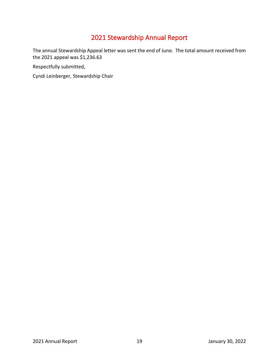# 2021 Stewardship Annual Report

The annual Stewardship Appeal letter was sent the end of June. The total amount received from the 2021 appeal was \$1,236.63

Respectfully submitted,

Cyndi Leinberger, Stewardship Chair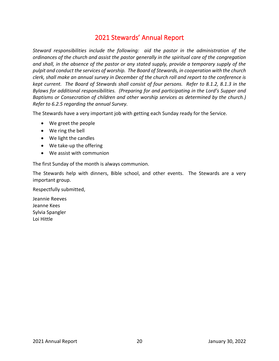## 2021 Stewards' Annual Report

*Steward responsibilities include the following: aid the pastor in the administration of the ordinances of the church and assist the pastor generally in the spiritual care of the congregation and shall, in the absence of the pastor or any stated supply, provide a temporary supply of the pulpit and conduct the services of worship. The Board of Stewards, in cooperation with the church clerk, shall make an annual survey in December of the church roll and report to the conference is kept current. The Board of Stewards shall consist of four persons. Refer to 8.1.2, 8.1.3 in the Bylaws for additional responsibilities. (Preparing for and participating in the Lord's Supper and Baptisms or Consecration of children and other worship services as determined by the church.) Refer to 6.2.5 regarding the annual Survey.*

The Stewards have a very important job with getting each Sunday ready for the Service.

- We greet the people
- We ring the bell
- We light the candles
- We take-up the offering
- We assist with communion

The first Sunday of the month is always communion.

The Stewards help with dinners, Bible school, and other events. The Stewards are a very important group.

Respectfully submitted,

Jeannie Reeves Jeanne Kees Sylvia Spangler Loi Hittle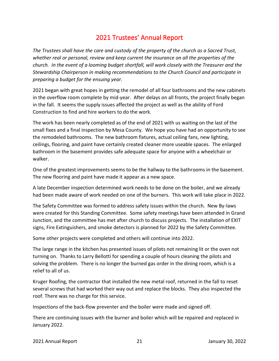## 2021 Trustees' Annual Report

*The Trustees shall have the care and custody of the property of the church as a Sacred Trust, whether real or personal, review and keep current the insurance on all the properties of the church. In the event of a looming budget shortfall, will work closely with the Treasurer and the Stewardship Chairperson in making recommendations to the Church Council and participate in preparing a budget for the ensuing year.*

2021 began with great hopes in getting the remodel of all four bathrooms and the new cabinets in the overflow room complete by mid-year. After delays on all fronts, the project finally began in the fall. It seems the supply issues affected the project as well as the ability of Ford Construction to find and hire workers to do the work.

The work has been nearly completed as of the end of 2021 with us waiting on the last of the small fixes and a final inspection by Mesa County. We hope you have had an opportunity to see the remodeled bathrooms. The new bathroom fixtures, actual ceiling fans, new lighting, ceilings, flooring, and paint have certainly created cleaner more useable spaces. The enlarged bathroom in the basement provides safe adequate space for anyone with a wheelchair or walker.

One of the greatest improvements seems to be the hallway to the bathrooms in the basement. The new flooring and paint have made it appear as a new space.

A late December inspection determined work needs to be done on the boiler, and we already had been made aware of work needed on one of the burners. This work will take place in 2022.

The Safety Committee was formed to address safety issues within the church. New By-laws were created for this Standing Committee. Some safety meetings have been attended in Grand Junction, and the committee has met after church to discuss projects. The installation of EXIT signs, Fire Extinguishers, and smoke detectors is planned for 2022 by the Safety Committee.

Some other projects were completed and others will continue into 2022.

The large range in the kitchen has presented issues of pilots not remaining lit or the oven not turning on. Thanks to Larry Bellotti for spending a couple of hours cleaning the pilots and solving the problem. There is no longer the burned gas order in the dining room, which is a relief to all of us.

Kruger Roofing, the contractor that installed the new metal roof, returned in the fall to reset several screws that had worked their way out and replace the blocks. They also inspected the roof. There was no charge for this service.

Inspections of the back-flow preventer and the boiler were made and signed off.

There are continuing issues with the burner and boiler which will be repaired and replaced in January 2022.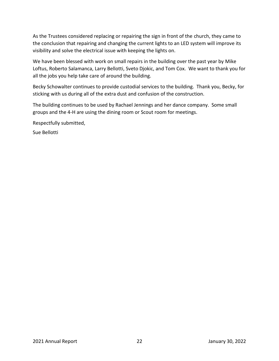As the Trustees considered replacing or repairing the sign in front of the church, they came to the conclusion that repairing and changing the current lights to an LED system will improve its visibility and solve the electrical issue with keeping the lights on.

We have been blessed with work on small repairs in the building over the past year by Mike Loftus, Roberto Salamanca, Larry Bellotti, Sveto Djokic, and Tom Cox. We want to thank you for all the jobs you help take care of around the building.

Becky Schowalter continues to provide custodial services to the building. Thank you, Becky, for sticking with us during all of the extra dust and confusion of the construction.

The building continues to be used by Rachael Jennings and her dance company. Some small groups and the 4-H are using the dining room or Scout room for meetings.

Respectfully submitted,

Sue Bellotti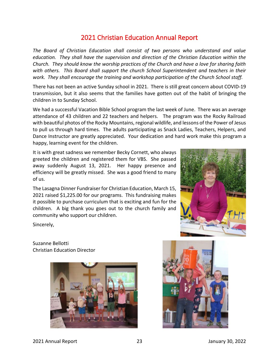## 2021 Christian Education Annual Report

*The Board of Christian Education shall consist of two persons who understand and value education. They shall have the supervision and direction of the Christian Education within the Church. They should know the worship practices of the Church and have a love for sharing faith with others. This Board shall support the church School Superintendent and teachers in their work. They shall encourage the training and workshop participation of the Church School staff.*

There has not been an active Sunday school in 2021. There is still great concern about COVID-19 transmission, but it also seems that the families have gotten out of the habit of bringing the children in to Sunday School.

We had a successful Vacation Bible School program the last week of June. There was an average attendance of 43 children and 22 teachers and helpers. The program was the Rocky Railroad with beautiful photos of the Rocky Mountains, regional wildlife, and lessons of the Power of Jesus to pull us through hard times. The adults participating as Snack Ladies, Teachers, Helpers, and Dance Instructor are greatly appreciated. Your dedication and hard work make this program a happy, learning event for the children.

It is with great sadness we remember Becky Cornett, who always greeted the children and registered them for VBS. She passed away suddenly August 13, 2021. Her happy presence and efficiency will be greatly missed. She was a good friend to many of us.

The Lasagna Dinner Fundraiser for Christian Education, March 15, 2021 raised \$1,225.00 for our programs. This fundraising makes it possible to purchase curriculum that is exciting and fun for the children. A big thank you goes out to the church family and community who support our children.



Sincerely,

Suzanne Bellotti Christian Education Director



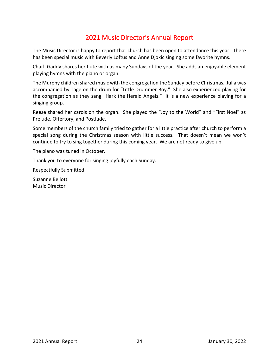## 2021 Music Director's Annual Report

The Music Director is happy to report that church has been open to attendance this year. There has been special music with Beverly Loftus and Anne Djokic singing some favorite hymns.

Charli Gaddy shares her flute with us many Sundays of the year. She adds an enjoyable element playing hymns with the piano or organ.

The Murphy children shared music with the congregation the Sunday before Christmas. Julia was accompanied by Tage on the drum for "Little Drummer Boy." She also experienced playing for the congregation as they sang "Hark the Herald Angels." It is a new experience playing for a singing group.

Reese shared her carols on the organ. She played the "Joy to the World" and "First Noel" as Prelude, Offertory, and Postlude.

Some members of the church family tried to gather for a little practice after church to perform a special song during the Christmas season with little success. That doesn't mean we won't continue to try to sing together during this coming year. We are not ready to give up.

The piano was tuned in October.

Thank you to everyone for singing joyfully each Sunday.

Respectfully Submitted

Suzanne Bellotti Music Director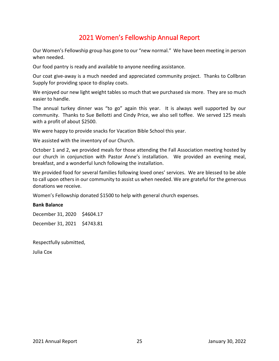## 2021 Women's Fellowship Annual Report

Our Women's Fellowship group has gone to our "new normal." We have been meeting in person when needed.

Our food pantry is ready and available to anyone needing assistance.

Our coat give-away is a much needed and appreciated community project. Thanks to Collbran Supply for providing space to display coats.

We enjoyed our new light weight tables so much that we purchased six more. They are so much easier to handle.

The annual turkey dinner was "to go" again this year. It is always well supported by our community. Thanks to Sue Bellotti and Cindy Price, we also sell toffee. We served 125 meals with a profit of about \$2500.

We were happy to provide snacks for Vacation Bible School this year.

We assisted with the inventory of our Church.

October 1 and 2, we provided meals for those attending the Fall Association meeting hosted by our church in conjunction with Pastor Anne's installation. We provided an evening meal, breakfast, and a wonderful lunch following the installation.

We provided food for several families following loved ones' services. We are blessed to be able to call upon others in our community to assist us when needed. We are grateful for the generous donations we receive.

Women's Fellowship donated \$1500 to help with general church expenses.

#### **Bank Balance**

December 31, 2020 \$4604.17 December 31, 2021 \$4743.81

Respectfully submitted,

Julia Cox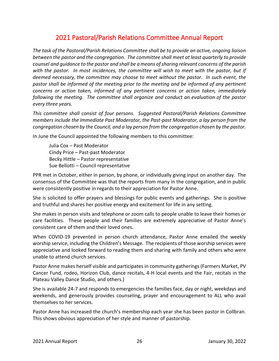## 2021 Pastoral/Parish Relations Committee Annual Report

*The task of the Pastoral/Parish Relations Committee shall be to provide an active, ongoing liaison between the pastor and the congregation. The committee shall meet at least quarterly to provide counsel and guidance to the pastor and shall be a means of sharing relevant concerns of the parish with the pastor. In most incidences, the committee will wish to meet with the pastor, but if deemed necessary, the committee may choose to meet without the pastor. In such event, the pastor shall be informed of the meeting prior to the meeting and be informed of any pertinent concerns or action taken, informed of any pertinent concerns or action taken, immediately following the meeting. The committee shall organize and conduct an evaluation of the pastor every three years.*

*This committee shall consist of four persons. Suggested Pastoral/Parish Relations Committee members include the Immediate Past Moderator, the Past-past Moderator, a lay person from the congregation chosen by the Council, and a lay person from the congregation chosen by the pastor.*

In June the Council appointed the following members to this committee:

Julia Cox – Past Moderator Cindy Price – Past-past Moderator Becky Hittle – Pastor representative Sue Bellotti – Council representative

PPR met in October, either in person, by phone, or individually giving input on another day. The consensus of the Committee was that the reports from many in the congregation, and in public were consistently positive in regards to their appreciation for Pastor Anne.

She is solicited to offer prayers and blessings for public events and gatherings. She is positive and truthful and shares her positive energy and excitement for life in any setting.

She makes in person visits and telephone or zoom calls to people unable to leave their homes or care facilities. These people and their families are extremely appreciative of Pastor Anne's consistent care of them and their loved ones.

When COVID-19 prevented in person church attendance, Pastor Anne emailed the weekly worship service, including the Children's Message. The recipients of those worship services were appreciative and looked forward to reading them and sharing with family and others who were unable to attend church services.

Pastor Anne makes herself visible and participates in community gatherings (Farmers Market, PV Cancer Fund, rodeo, Horizon Club, dance recitals, 4-H local events and the Fair, recitals in the Plateau Valley Dance Studio, and others.)

She is available 24-7 and responds to emergencies the families face, day or night, weekdays and weekends, and generously provides counseling, prayer and encouragement to ALL who avail themselves to her services.

Pastor Anne has increased the church's membership each year she has been pastor in Collbran. This shows obvious appreciation of her style and manner of pastorship.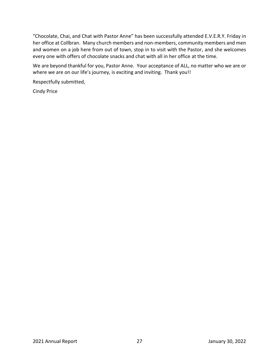"Chocolate, Chai, and Chat with Pastor Anne" has been successfully attended E.V.E.R.Y. Friday in her office at Collbran. Many church members and non-members, community members and men and women on a job here from out of town, stop in to visit with the Pastor, and she welcomes every one with offers of chocolate snacks and chat with all in her office at the time.

We are beyond thankful for you, Pastor Anne. Your acceptance of ALL, no matter who we are or where we are on our life's journey, is exciting and inviting. Thank you!!

Respectfully submitted,

Cindy Price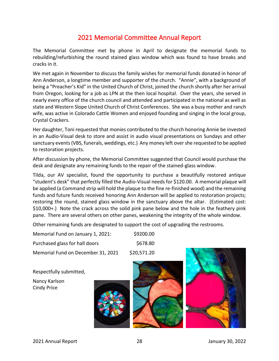## 2021 Memorial Committee Annual Report

The Memorial Committee met by phone in April to designate the memorial funds to rebuilding/refurbishing the round stained glass window which was found to have breaks and cracks in it.

We met again in November to discuss the family wishes for memorial funds donated in honor of Ann Anderson, a longtime member and supporter of the church. "Annie", with a background of being a "Preacher's Kid" in the United Church of Christ, joined the church shortly after her arrival from Oregon, looking for a job as LPN at the then local hospital. Over the years, she served in nearly every office of the church council and attended and participated in the national as well as state and Western Slope United Church of Christ Conferences. She was a busy mother and ranch wife, was active in Colorado Cattle Women and enjoyed founding and singing in the local group, Crystal Crackers.

Her daughter, Toni requested that monies contributed to the church honoring Annie be invested in an Audio-Visual desk to store and assist in audio visual presentations on Sundays and other sanctuary events (VBS, funerals, weddings, etc.) Any money left over she requested to be applied to restoration projects.

After discussion by phone, the Memorial Committee suggested that Council would purchase the desk and designate any remaining funds to the repair of the stained-glass window.

Tilda, our AV specialist, found the opportunity to purchase a beautifully restored antique "student's desk" that perfectly filled the Audio-Visual needs for \$120.00. A memorial plaque will be applied (a Command strip will hold the plaque to the fine re-finished wood) and the remaining funds and future funds received honoring Ann Anderson will be applied to restoration projects; restoring the round, stained glass window in the sanctuary above the altar. (Estimated cost: \$10,000+.) Note the crack across the solid pink pane below and the hole in the feathery pink pane. There are several others on other panes, weakening the integrity of the whole window.

Other remaining funds are designated to support the cost of upgrading the restrooms.

| Memorial Fund on January 1, 2021:  | \$9200.00   |
|------------------------------------|-------------|
| Purchased glass for hall doors     | \$678.80    |
| Memorial Fund on December 31, 2021 | \$20,571.20 |

Respectfully submitted,

Nancy Karlson Cindy Price

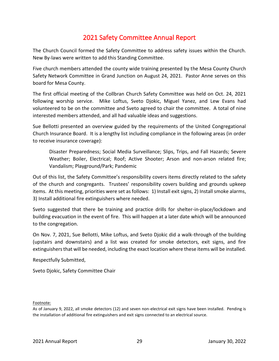## 2021 Safety Committee Annual Report

The Church Council formed the Safety Committee to address safety issues within the Church. New By-laws were written to add this Standing Committee.

Five church members attended the county wide training presented by the Mesa County Church Safety Network Committee in Grand Junction on August 24, 2021. Pastor Anne serves on this board for Mesa County.

The first official meeting of the Collbran Church Safety Committee was held on Oct. 24, 2021 following worship service. Mike Loftus, Sveto Djokic, Miguel Yanez, and Lew Evans had volunteered to be on the committee and Sveto agreed to chair the committee. A total of nine interested members attended, and all had valuable ideas and suggestions.

Sue Bellotti presented an overview guided by the requirements of the United Congregational Church Insurance Board. It is a lengthy list including compliance in the following areas (in order to receive insurance coverage):

Disaster Preparedness; Social Media Surveillance; Slips, Trips, and Fall Hazards; Severe Weather; Boiler, Electrical; Roof; Active Shooter; Arson and non-arson related fire; Vandalism; Playground/Park; Pandemic

Out of this list, the Safety Committee's responsibility covers items directly related to the safety of the church and congregants. Trustees' responsibility covers building and grounds upkeep items. At this meeting, priorities were set as follows: 1) Install exit signs, 2) Install smoke alarms, 3) Install additional fire extinguishers where needed.

Sveto suggested that there be training and practice drills for shelter-in-place/lockdown and building evacuation in the event of fire. This will happen at a later date which will be announced to the congregation.

On Nov. 7, 2021, Sue Bellotti, Mike Loftus, and Sveto Djokic did a walk-through of the building (upstairs and downstairs) and a list was created for smoke detectors, exit signs, and fire extinguishers that will be needed, including the exact location where these items will be installed.

Respectfully Submitted,

Sveto Djokic, Safety Committee Chair

#### Footnote:

As of January 9, 2022, all smoke detectors (12) and seven non-electrical exit signs have been installed. Pending is the installation of additional fire extinguishers and exit signs connected to an electrical source.